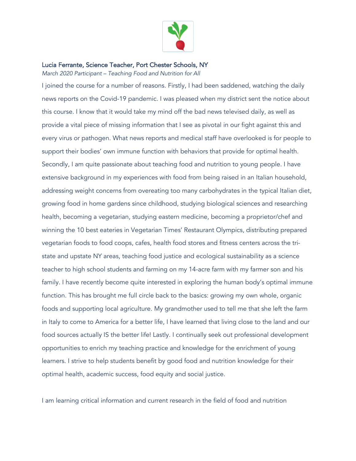

## Lucia Ferrante, Science Teacher, Port Chester Schools, NY

*March 2020 Participant – Teaching Food and Nutrition for All* 

I joined the course for a number of reasons. Firstly, I had been saddened, watching the daily news reports on the Covid-19 pandemic. I was pleased when my district sent the notice about this course. I know that it would take my mind off the bad news televised daily, as well as provide a vital piece of missing information that I see as pivotal in our fight against this and every virus or pathogen. What news reports and medical staff have overlooked is for people to support their bodies' own immune function with behaviors that provide for optimal health. Secondly, I am quite passionate about teaching food and nutrition to young people. I have extensive background in my experiences with food from being raised in an Italian household, addressing weight concerns from overeating too many carbohydrates in the typical Italian diet, growing food in home gardens since childhood, studying biological sciences and researching health, becoming a vegetarian, studying eastern medicine, becoming a proprietor/chef and winning the 10 best eateries in Vegetarian Times' Restaurant Olympics, distributing prepared vegetarian foods to food coops, cafes, health food stores and fitness centers across the tristate and upstate NY areas, teaching food justice and ecological sustainability as a science teacher to high school students and farming on my 14-acre farm with my farmer son and his family. I have recently become quite interested in exploring the human body's optimal immune function. This has brought me full circle back to the basics: growing my own whole, organic foods and supporting local agriculture. My grandmother used to tell me that she left the farm in Italy to come to America for a better life, I have learned that living close to the land and our food sources actually IS the better life! Lastly. I continually seek out professional development opportunities to enrich my teaching practice and knowledge for the enrichment of young learners. I strive to help students benefit by good food and nutrition knowledge for their optimal health, academic success, food equity and social justice.

I am learning critical information and current research in the field of food and nutrition